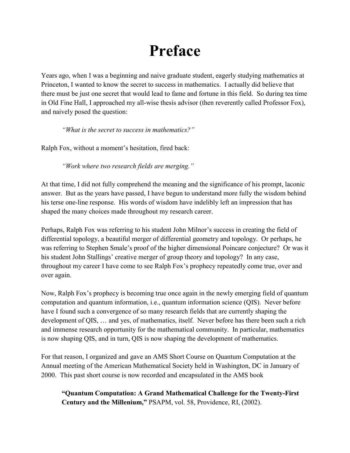## **Preface**

Years ago, when I was a beginning and naive graduate student, eagerly studying mathematics at Princeton, I wanted to know the secret to success in mathematics. I actually did believe that there must be just one secret that would lead to fame and fortune in this field. So during tea time in Old Fine Hall, I approached my all-wise thesis advisor (then reverently called Professor Fox), and naively posed the question:

*"What is the secret to success in mathematics?"* 

Ralph Fox, without a moment's hesitation, fired back:

*"Work where two research fields are merging."* 

At that time, I did not fully comprehend the meaning and the significance of his prompt, laconic answer. But as the years have passed, I have begun to understand more fully the wisdom behind his terse one-line response. His words of wisdom have indelibly left an impression that has shaped the many choices made throughout my research career.

Perhaps, Ralph Fox was referring to his student John Milnor's success in creating the field of differential topology, a beautiful merger of differential geometry and topology. Or perhaps, he was referring to Stephen Smale's proof of the higher dimensional Poincare conjecture? Or was it his student John Stallings' creative merger of group theory and topology? In any case, throughout my career I have come to see Ralph Fox's prophecy repeatedly come true, over and over again.

Now, Ralph Fox's prophecy is becoming true once again in the newly emerging field of quantum computation and quantum information, i.e., quantum information science (QIS). Never before have I found such a convergence of so many research fields that are currently shaping the development of QIS, … and yes, of mathematics, itself. Never before has there been such a rich and immense research opportunity for the mathematical community. In particular, mathematics is now shaping QIS, and in turn, QIS is now shaping the development of mathematics.

For that reason, I organized and gave an AMS Short Course on Quantum Computation at the Annual meeting of the American Mathematical Society held in Washington, DC in January of 2000. This past short course is now recorded and encapsulated in the AMS book

**"Quantum Computation: A Grand Mathematical Challenge for the Twenty-First Century and the Millenium,"** PSAPM, vol. 58, Providence, RI, (2002).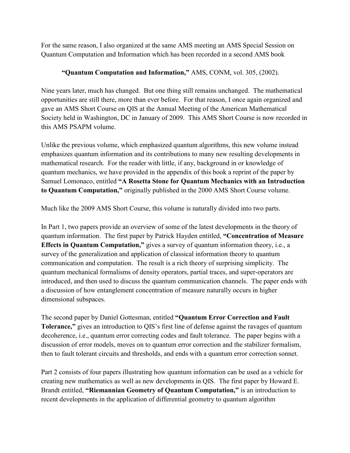For the same reason, I also organized at the same AMS meeting an AMS Special Session on Quantum Computation and Information which has been recorded in a second AMS book

## **"Quantum Computation and Information,"** AMS, CONM, vol. 305, (2002).

Nine years later, much has changed. But one thing still remains unchanged. The mathematical opportunities are still there, more than ever before. For that reason, I once again organized and gave an AMS Short Course on QIS at the Annual Meeting of the American Mathematical Society held in Washington, DC in January of 2009. This AMS Short Course is now recorded in this AMS PSAPM volume.

Unlike the previous volume, which emphasized quantum algorithms, this new volume instead emphasizes quantum information and its contributions to many new resulting developments in mathematical research. For the reader with little, if any, background in or knowledge of quantum mechanics, we have provided in the appendix of this book a reprint of the paper by Samuel Lomonaco, entitled **"A Rosetta Stone for Quantum Mechanics with an Introduction to Quantum Computation,"** originally published in the 2000 AMS Short Course volume.

Much like the 2009 AMS Short Course, this volume is naturally divided into two parts.

In Part 1, two papers provide an overview of some of the latest developments in the theory of quantum information. The first paper by Patrick Hayden entitled, **"Concentration of Measure Effects in Quantum Computation,"** gives a survey of quantum information theory, i.e., a survey of the generalization and application of classical information theory to quantum communication and computation. The result is a rich theory of surprising simplicity. The quantum mechanical formalisms of density operators, partial traces, and super-operators are introduced, and then used to discuss the quantum communication channels. The paper ends with a discussion of how entanglement concentration of measure naturally occurs in higher dimensional subspaces.

The second paper by Daniel Gottesman, entitled **"Quantum Error Correction and Fault Tolerance,"** gives an introduction to QIS's first line of defense against the ravages of quantum decoherence, i.e., quantum error correcting codes and fault tolerance. The paper begins with a discussion of error models, moves on to quantum error correction and the stabilizer formalism, then to fault tolerant circuits and thresholds, and ends with a quantum error correction sonnet.

Part 2 consists of four papers illustrating how quantum information can be used as a vehicle for creating new mathematics as well as new developments in QIS. The first paper by Howard E. Brandt entitled, **"Riemannian Geometry of Quantum Computation,"** is an introduction to recent developments in the application of differential geometry to quantum algorithm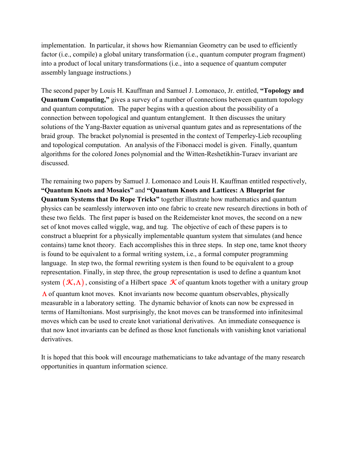implementation. In particular, it shows how Riemannian Geometry can be used to efficiently factor (i.e., compile) a global unitary transformation (i.e., quantum computer program fragment) into a product of local unitary transformations (i.e., into a sequence of quantum computer assembly language instructions.)

The second paper by Louis H. Kauffman and Samuel J. Lomonaco, Jr. entitled, **"Topology and Quantum Computing,"** gives a survey of a number of connections between quantum topology and quantum computation. The paper begins with a question about the possibility of a connection between topological and quantum entanglement. It then discusses the unitary solutions of the Yang-Baxter equation as universal quantum gates and as representations of the braid group. The bracket polynomial is presented in the context of Temperley-Lieb recoupling and topological computation. An analysis of the Fibonacci model is given. Finally, quantum algorithms for the colored Jones polynomial and the Witten-Reshetikhin-Turaev invariant are discussed.

The remaining two papers by Samuel J. Lomonaco and Louis H. Kauffman entitled respectively, **"Quantum Knots and Mosaics"** and **"Quantum Knots and Lattices: A Blueprint for Quantum Systems that Do Rope Tricks"** together illustrate how mathematics and quantum physics can be seamlessly interwoven into one fabric to create new research directions in both of these two fields. The first paper is based on the Reidemeister knot moves, the second on a new set of knot moves called wiggle, wag, and tug. The objective of each of these papers is to construct a blueprint for a physically implementable quantum system that simulates (and hence contains) tame knot theory. Each accomplishes this in three steps. In step one, tame knot theory is found to be equivalent to a formal writing system, i.e., a formal computer programming language. In step two, the formal rewriting system is then found to be equivalent to a group representation. Finally, in step three, the group representation is used to define a quantum knot system  $({\mathcal{K}}, \Lambda)$ , consisting of a Hilbert space  ${\mathcal{K}}$  of quantum knots together with a unitary group

 $\Lambda$  of quantum knot moves. Knot invariants now become quantum observables, physically measurable in a laboratory setting. The dynamic behavior of knots can now be expressed in terms of Hamiltonians. Most surprisingly, the knot moves can be transformed into infinitesimal moves which can be used to create knot variational derivatives. An immediate consequence is that now knot invariants can be defined as those knot functionals with vanishing knot variational derivatives.

It is hoped that this book will encourage mathematicians to take advantage of the many research opportunities in quantum information science.